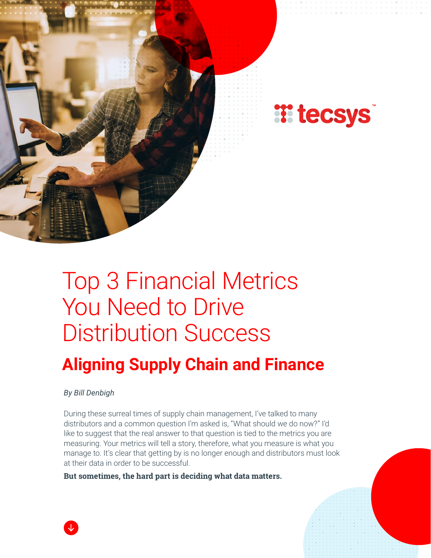

# Top 3 Financial Metrics You Need to Drive Distribution Success

## **Aligning Supply Chain and Finance**

#### *By Bill Denbigh*

During these surreal times of supply chain management, I've talked to many distributors and a common question I'm asked is, "What should we do now?" I'd like to suggest that the real answer to that question is tied to the metrics you are measuring. Your metrics will tell a story, therefore, what you measure is what you manage to. It's clear that getting by is no longer enough and distributors must look at their data in order to be successful.

**But sometimes, the hard part is deciding what data matters.**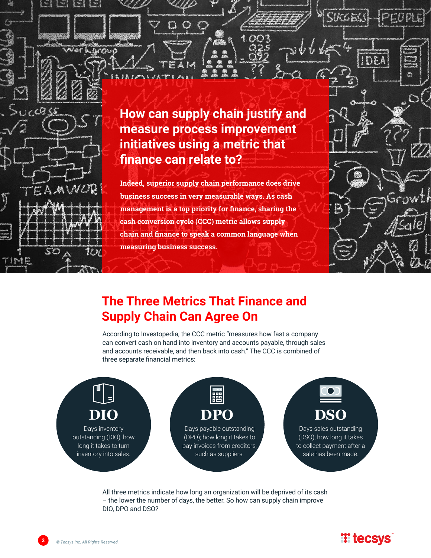

Laroue

**How can supply chain justify and measure process improvement initiatives using a metric that finance can relate to?** 

**Indeed, superior supply chain performance does drive business success in very measurable ways. As cash management is a top priority for finance, sharing the cash conversion cycle (CCC) metric allows supply chain and finance to speak a common language when measuring business success.**

#### **The Three Metrics That Finance and Supply Chain Can Agree On**

According to Investopedia, the CCC metric "measures how fast a company can convert cash on hand into inventory and accounts payable, through sales and accounts receivable, and then back into cash." The CCC is combined of three separate financial metrics:



All three metrics indicate how long an organization will be deprived of its cash – the lower the number of days, the better. So how can supply chain improve DIO, DPO and DSO?



 $PEDPLE$ 

KGES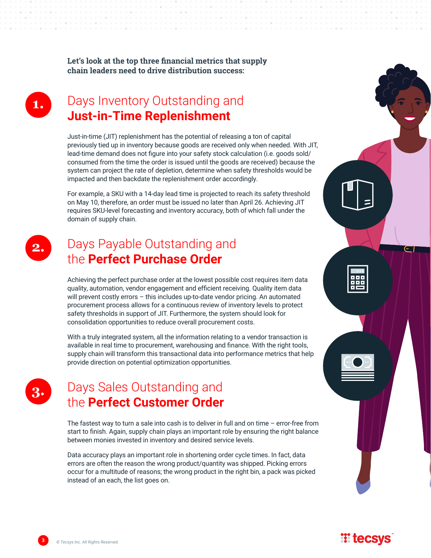**Let's look at the top three financial metrics that supply chain leaders need to drive distribution success:**

**1.**

#### Days Inventory Outstanding and **Just-in-Time Replenishment**

Just-in-time (JIT) replenishment has the potential of releasing a ton of capital previously tied up in inventory because goods are received only when needed. With JIT, lead-time demand does not figure into your safety stock calculation (i.e. goods sold/ consumed from the time the order is issued until the goods are received) because the system can project the rate of depletion, determine when safety thresholds would be impacted and then backdate the replenishment order accordingly.

For example, a SKU with a 14-day lead time is projected to reach its safety threshold on May 10, therefore, an order must be issued no later than April 26. Achieving JIT requires SKU-level forecasting and inventory accuracy, both of which fall under the domain of supply chain.



### Days Payable Outstanding and the **Perfect Purchase Order**

Achieving the perfect purchase order at the lowest possible cost requires item data quality, automation, vendor engagement and efficient receiving. Quality item data will prevent costly errors – this includes up-to-date vendor pricing. An automated procurement process allows for a continuous review of inventory levels to protect safety thresholds in support of JIT. Furthermore, the system should look for consolidation opportunities to reduce overall procurement costs.

With a truly integrated system, all the information relating to a vendor transaction is available in real time to procurement, warehousing and finance. With the right tools, supply chain will transform this transactional data into performance metrics that help provide direction on potential optimization opportunities.



#### Days Sales Outstanding and the **Perfect Customer Order**

The fastest way to turn a sale into cash is to deliver in full and on time – error-free from start to finish. Again, supply chain plays an important role by ensuring the right balance between monies invested in inventory and desired service levels.

Data accuracy plays an important role in shortening order cycle times. In fact, data errors are often the reason the wrong product/quantity was shipped. Picking errors occur for a multitude of reasons; the wrong product in the right bin, a pack was picked instead of an each, the list goes on.



#### **T** tecsys